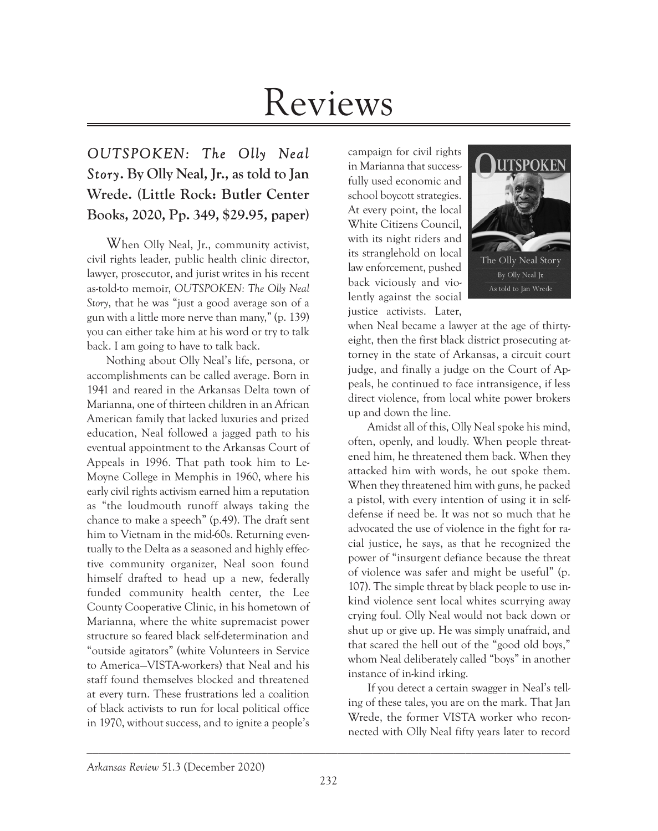## Reviews

## *OUTSPOKEN: The Olly Neal Story***. By Olly Neal, Jr., as told to Jan Wrede. (Little Rock: Butler Center Books, 2020, Pp. 349, \$29.95, paper)**

When Olly Neal, Jr., community activist, civil rights leader, public health clinic director, lawyer, prosecutor, and jurist writes in his recent as-told-to memoir, *OUTSPOKEN: The Olly Neal Story*, that he was "just a good average son of a gun with a little more nerve than many," (p. 139) you can either take him at his word or try to talk back. I am going to have to talk back.

Nothing about Olly Neal's life, persona, or accomplishments can be called average. Born in 1941 and reared in the Arkansas Delta town of Marianna, one of thirteen children in an African American family that lacked luxuries and prized education, Neal followed a jagged path to his eventual appointment to the Arkansas Court of Appeals in 1996. That path took him to Le-Moyne College in Memphis in 1960, where his early civil rights activism earned him a reputation as "the loudmouth runoff always taking the chance to make a speech" (p.49). The draft sent him to Vietnam in the mid-60s. Returning eventually to the Delta as a seasoned and highly effective community organizer, Neal soon found himself drafted to head up a new, federally funded community health center, the Lee County Cooperative Clinic, in his hometown of Marianna, where the white supremacist power structure so feared black self-determination and "outside agitators" (white Volunteers in Service to America—VISTA-workers) that Neal and his staff found themselves blocked and threatened at every turn. These frustrations led a coalition of black activists to run for local political office in 1970, without success, and to ignite a people's

campaign for civil rights in Marianna that successfully used economic and school boycott strategies. At every point, the local White Citizens Council, with its night riders and its stranglehold on local law enforcement, pushed back viciously and violently against the social justice activists. Later,



when Neal became a lawyer at the age of thirtyeight, then the first black district prosecuting attorney in the state of Arkansas, a circuit court judge, and finally a judge on the Court of Appeals, he continued to face intransigence, if less direct violence, from local white power brokers up and down the line.

Amidst all of this, Olly Neal spoke his mind, often, openly, and loudly. When people threatened him, he threatened them back. When they attacked him with words, he out spoke them. When they threatened him with guns, he packed a pistol, with every intention of using it in selfdefense if need be. It was not so much that he advocated the use of violence in the fight for racial justice, he says, as that he recognized the power of "insurgent defiance because the threat of violence was safer and might be useful" (p. 107). The simple threat by black people to use inkind violence sent local whites scurrying away crying foul. Olly Neal would not back down or shut up or give up. He was simply unafraid, and that scared the hell out of the "good old boys," whom Neal deliberately called "boys" in another instance of in-kind irking.

If you detect a certain swagger in Neal's telling of these tales, you are on the mark. That Jan Wrede, the former VISTA worker who reconnected with Olly Neal fifty years later to record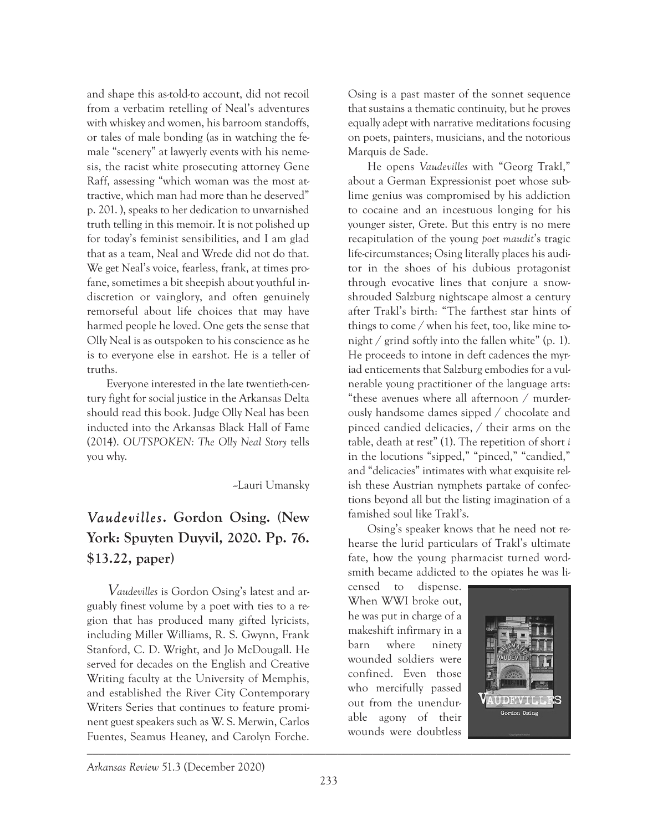and shape this as-told-to account, did not recoil from a verbatim retelling of Neal's adventures with whiskey and women, his barroom standoffs, or tales of male bonding (as in watching the female "scenery" at lawyerly events with his nemesis, the racist white prosecuting attorney Gene Raff, assessing "which woman was the most attractive, which man had more than he deserved" p. 201. ), speaks to her dedication to unvarnished truth telling in this memoir. It is not polished up for today's feminist sensibilities, and I am glad that as a team, Neal and Wrede did not do that. We get Neal's voice, fearless, frank, at times profane, sometimes a bit sheepish about youthful indiscretion or vainglory, and often genuinely remorseful about life choices that may have harmed people he loved. One gets the sense that Olly Neal is as outspoken to his conscience as he is to everyone else in earshot. He is a teller of truths.

Everyone interested in the late twentieth-century fight for social justice in the Arkansas Delta should read this book. Judge Olly Neal has been inducted into the Arkansas Black Hall of Fame (2014). *OUTSPOKEN: The Olly Neal Story* tells you why.

--Lauri Umansky

## *Vaudevilles***. Gordon Osing. (New York: Spuyten Duyvil, 2020. Pp. 76. \$13.22, paper)**

\_\_\_\_\_\_\_\_\_\_\_\_\_\_\_\_\_\_\_\_\_\_\_\_\_\_\_\_\_\_\_\_\_\_\_\_\_\_\_\_\_\_\_\_\_\_\_\_\_\_\_\_\_\_\_\_\_\_\_\_\_\_\_\_\_\_\_\_\_\_\_\_\_\_\_\_\_\_\_\_\_\_\_ V*audevilles* is Gordon Osing's latest and arguably finest volume by a poet with ties to a region that has produced many gifted lyricists, including Miller Williams, R. S. Gwynn, Frank Stanford, C. D. Wright, and Jo McDougall. He served for decades on the English and Creative Writing faculty at the University of Memphis, and established the River City Contemporary Writers Series that continues to feature prominent guest speakers such as W. S. Merwin, Carlos Fuentes, Seamus Heaney, and Carolyn Forche.

Osing is a past master of the sonnet sequence that sustains a thematic continuity, but he proves equally adept with narrative meditations focusing on poets, painters, musicians, and the notorious Marquis de Sade.

He opens *Vaudevilles* with "Georg Trakl," about a German Expressionist poet whose sublime genius was compromised by his addiction to cocaine and an incestuous longing for his younger sister, Grete. But this entry is no mere recapitulation of the young *poet maudit*'s tragic life-circumstances; Osing literally places his auditor in the shoes of his dubious protagonist through evocative lines that conjure a snowshrouded Salzburg nightscape almost a century after Trakl's birth: "The farthest star hints of things to come / when his feet, too, like mine tonight / grind softly into the fallen white" (p. 1). He proceeds to intone in deft cadences the myriad enticements that Salzburg embodies for a vulnerable young practitioner of the language arts: "these avenues where all afternoon / murderously handsome dames sipped / chocolate and pinced candied delicacies, / their arms on the table, death at rest" (1). The repetition of short *i* in the locutions "sipped," "pinced," "candied," and "delicacies" intimates with what exquisite relish these Austrian nymphets partake of confections beyond all but the listing imagination of a famished soul like Trakl's.

Osing's speaker knows that he need not rehearse the lurid particulars of Trakl's ultimate fate, how the young pharmacist turned wordsmith became addicted to the opiates he was li-

censed to dispense. When WWI broke out, he was put in charge of a makeshift infirmary in a barn where ninety wounded soldiers were confined. Even those who mercifully passed out from the unendurable agony of their wounds were doubtless



*Arkansas Review* 51.3 (December 2020)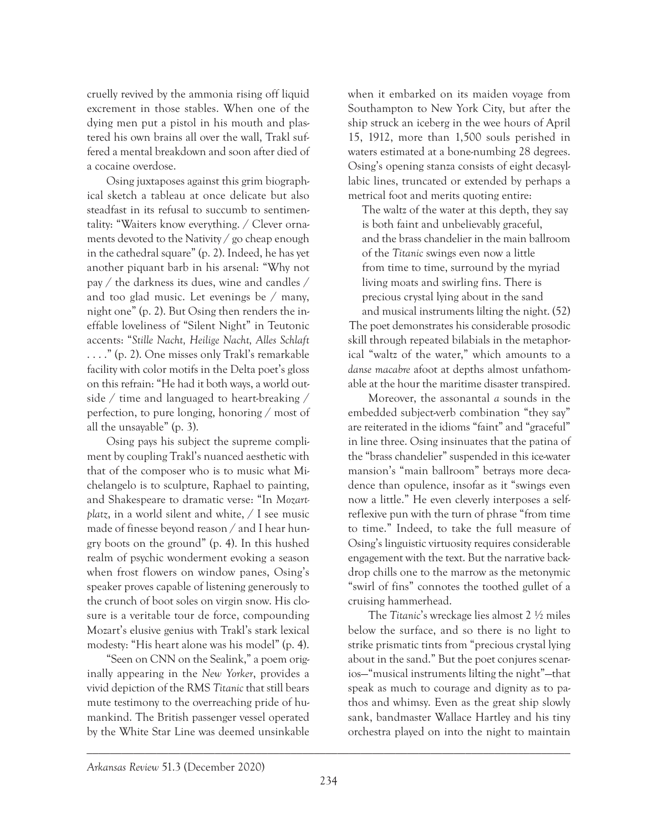cruelly revived by the ammonia rising off liquid excrement in those stables. When one of the dying men put a pistol in his mouth and plastered his own brains all over the wall, Trakl suffered a mental breakdown and soon after died of a cocaine overdose.

Osing juxtaposes against this grim biographical sketch a tableau at once delicate but also steadfast in its refusal to succumb to sentimentality: "Waiters know everything. / Clever ornaments devoted to the Nativity / go cheap enough in the cathedral square" (p. 2). Indeed, he has yet another piquant barb in his arsenal: "Why not pay / the darkness its dues, wine and candles / and too glad music. Let evenings be / many, night one" (p. 2). But Osing then renders the ineffable loveliness of "Silent Night" in Teutonic accents: "*Stille Nacht, Heilige Nacht, Alles Schlaft* . . . ." (p. 2). One misses only Trakl's remarkable facility with color motifs in the Delta poet's gloss on this refrain: "He had it both ways, a world outside / time and languaged to heart-breaking / perfection, to pure longing, honoring / most of all the unsayable" (p. 3).

Osing pays his subject the supreme compliment by coupling Trakl's nuanced aesthetic with that of the composer who is to music what Michelangelo is to sculpture, Raphael to painting, and Shakespeare to dramatic verse: "In *Mozartplatz*, in a world silent and white, / I see music made of finesse beyond reason / and I hear hungry boots on the ground" (p. 4). In this hushed realm of psychic wonderment evoking a season when frost flowers on window panes, Osing's speaker proves capable of listening generously to the crunch of boot soles on virgin snow. His closure is a veritable tour de force, compounding Mozart's elusive genius with Trakl's stark lexical modesty: "His heart alone was his model" (p. 4).

"Seen on CNN on the Sealink," a poem originally appearing in the *New Yorker*, provides a vivid depiction of the RMS *Titanic* that still bears mute testimony to the overreaching pride of humankind. The British passenger vessel operated by the White Star Line was deemed unsinkable

when it embarked on its maiden voyage from Southampton to New York City, but after the ship struck an iceberg in the wee hours of April 15, 1912, more than 1,500 souls perished in waters estimated at a bone-numbing 28 degrees. Osing's opening stanza consists of eight decasyllabic lines, truncated or extended by perhaps a metrical foot and merits quoting entire:

The waltz of the water at this depth, they say is both faint and unbelievably graceful, and the brass chandelier in the main ballroom of the *Titanic* swings even now a little from time to time, surround by the myriad living moats and swirling fins. There is precious crystal lying about in the sand

and musical instruments lilting the night. (52) The poet demonstrates his considerable prosodic skill through repeated bilabials in the metaphorical "waltz of the water," which amounts to a *danse macabre* afoot at depths almost unfathomable at the hour the maritime disaster transpired.

Moreover, the assonantal *a* sounds in the embedded subject-verb combination "they say" are reiterated in the idioms "faint" and "graceful" in line three. Osing insinuates that the patina of the "brass chandelier" suspended in this ice-water mansion's "main ballroom" betrays more decadence than opulence, insofar as it "swings even now a little." He even cleverly interposes a selfreflexive pun with the turn of phrase "from time to time." Indeed, to take the full measure of Osing's linguistic virtuosity requires considerable engagement with the text. But the narrative backdrop chills one to the marrow as the metonymic "swirl of fins" connotes the toothed gullet of a cruising hammerhead.

The *Titanic*'s wreckage lies almost 2 ½ miles below the surface, and so there is no light to strike prismatic tints from "precious crystal lying about in the sand." But the poet conjures scenarios—"musical instruments lilting the night"—that speak as much to courage and dignity as to pathos and whimsy. Even as the great ship slowly sank, bandmaster Wallace Hartley and his tiny orchestra played on into the night to maintain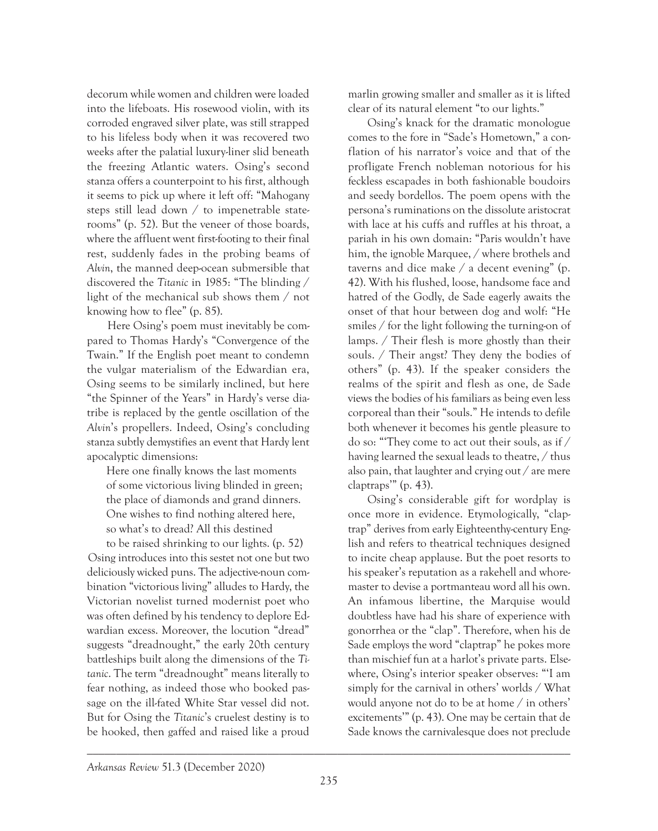decorum while women and children were loaded into the lifeboats. His rosewood violin, with its corroded engraved silver plate, was still strapped to his lifeless body when it was recovered two weeks after the palatial luxury-liner slid beneath the freezing Atlantic waters. Osing's second stanza offers a counterpoint to his first, although it seems to pick up where it left off: "Mahogany steps still lead down / to impenetrable staterooms" (p. 52). But the veneer of those boards, where the affluent went first-footing to their final rest, suddenly fades in the probing beams of *Alvin*, the manned deep-ocean submersible that discovered the *Titanic* in 1985: "The blinding / light of the mechanical sub shows them / not knowing how to flee" (p. 85).

Here Osing's poem must inevitably be compared to Thomas Hardy's "Convergence of the Twain." If the English poet meant to condemn the vulgar materialism of the Edwardian era, Osing seems to be similarly inclined, but here "the Spinner of the Years" in Hardy's verse diatribe is replaced by the gentle oscillation of the *Alvin*'s propellers. Indeed, Osing's concluding stanza subtly demystifies an event that Hardy lent apocalyptic dimensions:

Here one finally knows the last moments of some victorious living blinded in green; the place of diamonds and grand dinners. One wishes to find nothing altered here, so what's to dread? All this destined

to be raised shrinking to our lights. (p. 52) Osing introduces into this sestet not one but two deliciously wicked puns. The adjective-noun combination "victorious living" alludes to Hardy, the Victorian novelist turned modernist poet who was often defined by his tendency to deplore Edwardian excess. Moreover, the locution "dread" suggests "dreadnought," the early 20th century battleships built along the dimensions of the *Titanic*. The term "dreadnought" means literally to fear nothing, as indeed those who booked passage on the ill-fated White Star vessel did not. But for Osing the *Titanic*'s cruelest destiny is to be hooked, then gaffed and raised like a proud marlin growing smaller and smaller as it is lifted clear of its natural element "to our lights."

Osing's knack for the dramatic monologue comes to the fore in "Sade's Hometown," a conflation of his narrator's voice and that of the profligate French nobleman notorious for his feckless escapades in both fashionable boudoirs and seedy bordellos. The poem opens with the persona's ruminations on the dissolute aristocrat with lace at his cuffs and ruffles at his throat, a pariah in his own domain: "Paris wouldn't have him, the ignoble Marquee, / where brothels and taverns and dice make / a decent evening" (p. 42). With his flushed, loose, handsome face and hatred of the Godly, de Sade eagerly awaits the onset of that hour between dog and wolf: "He smiles / for the light following the turning-on of lamps. / Their flesh is more ghostly than their souls. / Their angst? They deny the bodies of others" (p. 43). If the speaker considers the realms of the spirit and flesh as one, de Sade views the bodies of his familiars as being even less corporeal than their "souls." He intends to defile both whenever it becomes his gentle pleasure to do so: "'They come to act out their souls, as if / having learned the sexual leads to theatre, / thus also pain, that laughter and crying out / are mere claptraps'" (p. 43).

Osing's considerable gift for wordplay is once more in evidence. Etymologically, "claptrap" derives from early Eighteenthy-century English and refers to theatrical techniques designed to incite cheap applause. But the poet resorts to his speaker's reputation as a rakehell and whoremaster to devise a portmanteau word all his own. An infamous libertine, the Marquise would doubtless have had his share of experience with gonorrhea or the "clap". Therefore, when his de Sade employs the word "claptrap" he pokes more than mischief fun at a harlot's private parts. Elsewhere, Osing's interior speaker observes: "'I am simply for the carnival in others' worlds / What would anyone not do to be at home / in others' excitements'" (p. 43). One may be certain that de Sade knows the carnivalesque does not preclude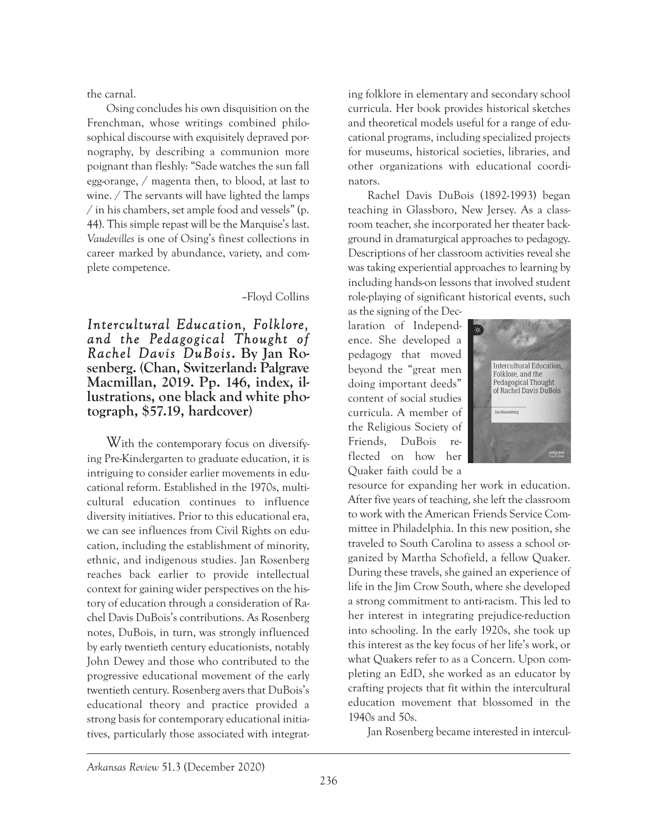the carnal.

Osing concludes his own disquisition on the Frenchman, whose writings combined philosophical discourse with exquisitely depraved pornography, by describing a communion more poignant than fleshly: "Sade watches the sun fall egg-orange, / magenta then, to blood, at last to wine. / The servants will have lighted the lamps / in his chambers, set ample food and vessels" (p. 44). This simple repast will be the Marquise's last. *Vaudevilles* is one of Osing's finest collections in career marked by abundance, variety, and complete competence.

--Floyd Collins

*Intercultural Education, Folklore, and the Pedagogical Thought of Rachel Davis DuBois***. By Jan Ro- senberg. (Chan, Switzerland: Palgrave Macmillan, 2019. Pp. 146, index, il- lustrations, one black and white pho- tograph, \$57.19, hardcover)**

With the contemporary focus on diversifying Pre-Kindergarten to graduate education, it is intriguing to consider earlier movements in educational reform. Established in the 1970s, multicultural education continues to influence diversity initiatives. Prior to this educational era, we can see influences from Civil Rights on education, including the establishment of minority, ethnic, and indigenous studies. Jan Rosenberg reaches back earlier to provide intellectual context for gaining wider perspectives on the history of education through a consideration of Rachel Davis DuBois's contributions. As Rosenberg notes, DuBois, in turn, was strongly influenced by early twentieth century educationists, notably John Dewey and those who contributed to the progressive educational movement of the early twentieth century. Rosenberg avers that DuBois's educational theory and practice provided a strong basis for contemporary educational initiatives, particularly those associated with integrat-

ing folklore in elementary and secondary school curricula. Her book provides historical sketches and theoretical models useful for a range of educational programs, including specialized projects for museums, historical societies, libraries, and other organizations with educational coordinators.

Rachel Davis DuBois (1892-1993) began teaching in Glassboro, New Jersey. As a classroom teacher, she incorporated her theater background in dramaturgical approaches to pedagogy. Descriptions of her classroom activities reveal she was taking experiential approaches to learning by including hands-on lessons that involved student role-playing of significant historical events, such

as the signing of the Declaration of Independence. She developed a pedagogy that moved beyond the "great men doing important deeds" content of social studies curricula. A member of the Religious Society of Friends, DuBois reflected on how her Quaker faith could be a



resource for expanding her work in education. After five years of teaching, she left the classroom to work with the American Friends Service Committee in Philadelphia. In this new position, she traveled to South Carolina to assess a school organized by Martha Schofield, a fellow Quaker. During these travels, she gained an experience of life in the Jim Crow South, where she developed a strong commitment to anti-racism. This led to her interest in integrating prejudice-reduction into schooling. In the early 1920s, she took up this interest as the key focus of her life's work, or what Quakers refer to as a Concern. Upon completing an EdD, she worked as an educator by crafting projects that fit within the intercultural education movement that blossomed in the 1940s and 50s.

Jan Rosenberg became interested in intercul-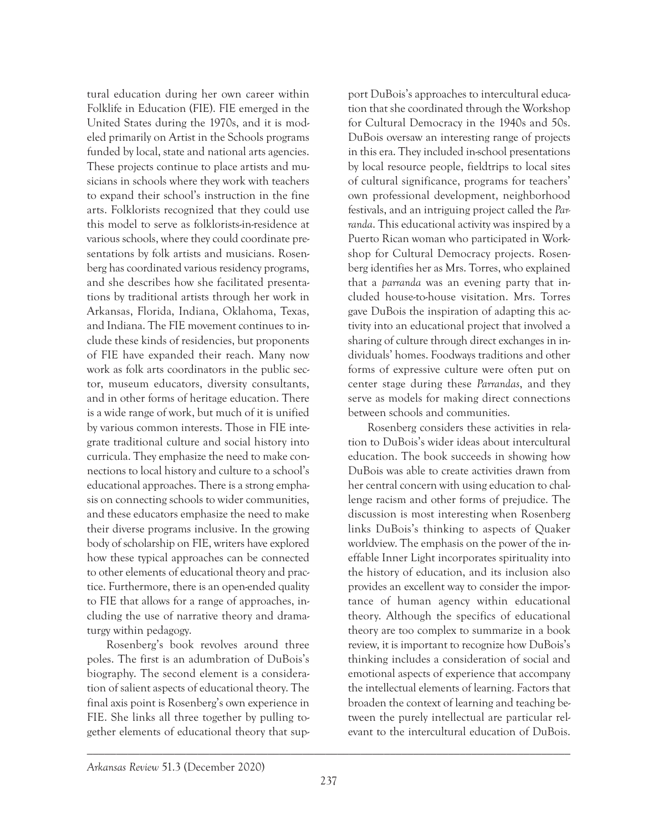tural education during her own career within Folklife in Education (FIE). FIE emerged in the United States during the 1970s, and it is modeled primarily on Artist in the Schools programs funded by local, state and national arts agencies. These projects continue to place artists and musicians in schools where they work with teachers to expand their school's instruction in the fine arts. Folklorists recognized that they could use this model to serve as folklorists-in-residence at various schools, where they could coordinate presentations by folk artists and musicians. Rosenberg has coordinated various residency programs, and she describes how she facilitated presentations by traditional artists through her work in Arkansas, Florida, Indiana, Oklahoma, Texas, and Indiana. The FIE movement continues to include these kinds of residencies, but proponents of FIE have expanded their reach. Many now work as folk arts coordinators in the public sector, museum educators, diversity consultants, and in other forms of heritage education. There is a wide range of work, but much of it is unified by various common interests. Those in FIE integrate traditional culture and social history into curricula. They emphasize the need to make connections to local history and culture to a school's educational approaches. There is a strong emphasis on connecting schools to wider communities, and these educators emphasize the need to make their diverse programs inclusive. In the growing body of scholarship on FIE, writers have explored how these typical approaches can be connected to other elements of educational theory and practice. Furthermore, there is an open-ended quality to FIE that allows for a range of approaches, including the use of narrative theory and dramaturgy within pedagogy.

Rosenberg's book revolves around three poles. The first is an adumbration of DuBois's biography. The second element is a consideration of salient aspects of educational theory. The final axis point is Rosenberg's own experience in FIE. She links all three together by pulling together elements of educational theory that support DuBois's approaches to intercultural education that she coordinated through the Workshop for Cultural Democracy in the 1940s and 50s. DuBois oversaw an interesting range of projects in this era. They included in-school presentations by local resource people, fieldtrips to local sites of cultural significance, programs for teachers' own professional development, neighborhood festivals, and an intriguing project called the *Parranda*. This educational activity was inspired by a Puerto Rican woman who participated in Workshop for Cultural Democracy projects. Rosenberg identifies her as Mrs. Torres, who explained that a *parranda* was an evening party that included house-to-house visitation. Mrs. Torres gave DuBois the inspiration of adapting this activity into an educational project that involved a sharing of culture through direct exchanges in individuals' homes. Foodways traditions and other forms of expressive culture were often put on center stage during these *Parrandas*, and they serve as models for making direct connections between schools and communities.

Rosenberg considers these activities in relation to DuBois's wider ideas about intercultural education. The book succeeds in showing how DuBois was able to create activities drawn from her central concern with using education to challenge racism and other forms of prejudice. The discussion is most interesting when Rosenberg links DuBois's thinking to aspects of Quaker worldview. The emphasis on the power of the ineffable Inner Light incorporates spirituality into the history of education, and its inclusion also provides an excellent way to consider the importance of human agency within educational theory. Although the specifics of educational theory are too complex to summarize in a book review, it is important to recognize how DuBois's thinking includes a consideration of social and emotional aspects of experience that accompany the intellectual elements of learning. Factors that broaden the context of learning and teaching between the purely intellectual are particular relevant to the intercultural education of DuBois.